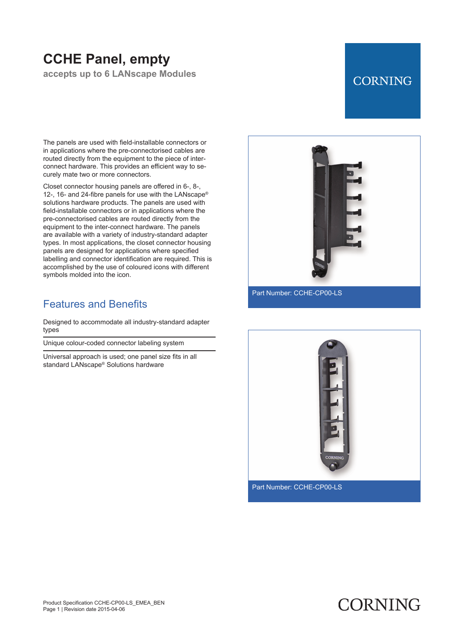# **CCHE Panel, empty**

**accepts up to 6 LANscape Modules**

# **CORNING**

The panels are used with field-installable connectors or in applications where the pre -connectorised cables are routed directly from the equipment to the piece of interconnect hardware. This provides an efficient way to securely mate two or more connectors.

Closet connector housing panels are offered in 6-, 8-, 12-, 16- and 24-fibre panels for use with the LANscape® solutions hardware products. The panels are used with field -installable connectors or in applications where the pre -connectorised cables are routed directly from the equipment to the inter -connect hardware. The panels are available with a variety of industry -standard adapter types. In most applications, the closet connector housing panels are designed for applications where specified labelling and connector identification are required. This is accomplished by the use of coloured icons with different symbols molded into the icon.

### Features and Benefits

Designed to accommodate all industry-standard adapter types

Unique colour-coded connector labeling system

Universal approach is used; one panel size fits in all standard LANscape® Solutions hardware